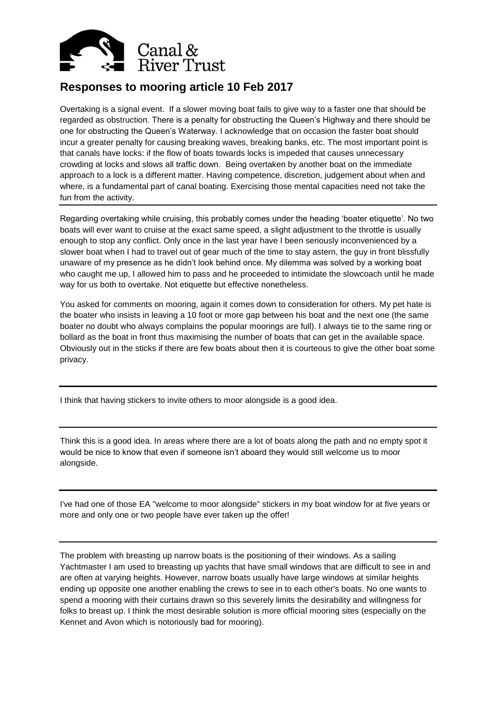

## **Responses to mooring article 10 Feb 2017**

Overtaking is a signal event. If a slower moving boat fails to give way to a faster one that should be regarded as obstruction. There is a penalty for obstructing the Queen's Highway and there should be one for obstructing the Queen's Waterway. I acknowledge that on occasion the faster boat should incur a greater penalty for causing breaking waves, breaking banks, etc. The most important point is that canals have locks: if the flow of boats towards locks is impeded that causes unnecessary crowding at locks and slows all traffic down. Being overtaken by another boat on the immediate approach to a lock is a different matter. Having competence, discretion, judgement about when and where, is a fundamental part of canal boating. Exercising those mental capacities need not take the fun from the activity.

Regarding overtaking while cruising, this probably comes under the heading 'boater etiquette'. No two boats will ever want to cruise at the exact same speed, a slight adjustment to the throttle is usually enough to stop any conflict. Only once in the last year have I been seriously inconvenienced by a slower boat when I had to travel out of gear much of the time to stay astern, the guy in front blissfully unaware of my presence as he didn't look behind once. My dilemma was solved by a working boat who caught me up, I allowed him to pass and he proceeded to intimidate the slowcoach until he made way for us both to overtake. Not etiquette but effective nonetheless.

You asked for comments on mooring, again it comes down to consideration for others. My pet hate is the boater who insists in leaving a 10 foot or more gap between his boat and the next one (the same boater no doubt who always complains the popular moorings are full). I always tie to the same ring or bollard as the boat in front thus maximising the number of boats that can get in the available space. Obviously out in the sticks if there are few boats about then it is courteous to give the other boat some privacy.

I think that having stickers to invite others to moor alongside is a good idea.

Think this is a good idea. In areas where there are a lot of boats along the path and no empty spot it would be nice to know that even if someone isn't aboard they would still welcome us to moor alongside.

I've had one of those EA "welcome to moor alongside" stickers in my boat window for at five years or more and only one or two people have ever taken up the offer!

The problem with breasting up narrow boats is the positioning of their windows. As a sailing Yachtmaster I am used to breasting up yachts that have small windows that are difficult to see in and are often at varying heights. However, narrow boats usually have large windows at similar heights ending up opposite one another enabling the crews to see in to each other's boats. No one wants to spend a mooring with their curtains drawn so this severely limits the desirability and willingness for folks to breast up. I think the most desirable solution is more official mooring sites (especially on the Kennet and Avon which is notoriously bad for mooring).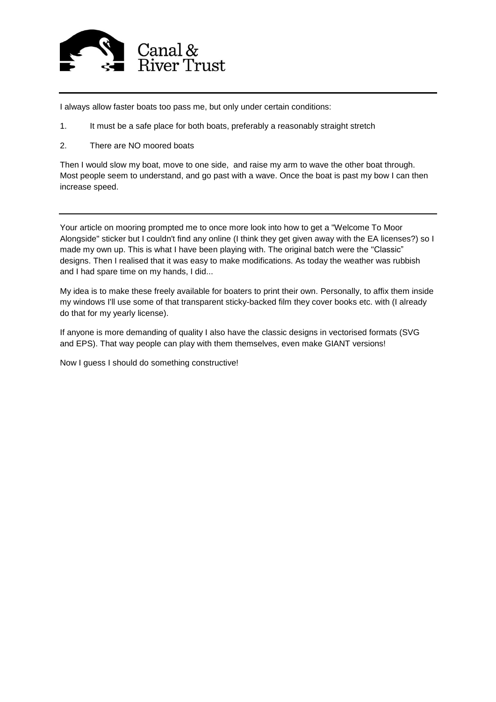

I always allow faster boats too pass me, but only under certain conditions:

- 1. It must be a safe place for both boats, preferably a reasonably straight stretch
- 2. There are NO moored boats

Then I would slow my boat, move to one side, and raise my arm to wave the other boat through. Most people seem to understand, and go past with a wave. Once the boat is past my bow I can then increase speed.

Your article on mooring prompted me to once more look into how to get a "Welcome To Moor Alongside" sticker but I couldn't find any online (I think they get given away with the EA licenses?) so I made my own up. This is what I have been playing with. The original batch were the "Classic" designs. Then I realised that it was easy to make modifications. As today the weather was rubbish and I had spare time on my hands, I did...

My idea is to make these freely available for boaters to print their own. Personally, to affix them inside my windows I'll use some of that transparent sticky-backed film they cover books etc. with (I already do that for my yearly license).

If anyone is more demanding of quality I also have the classic designs in vectorised formats (SVG and EPS). That way people can play with them themselves, even make GIANT versions!

Now I guess I should do something constructive!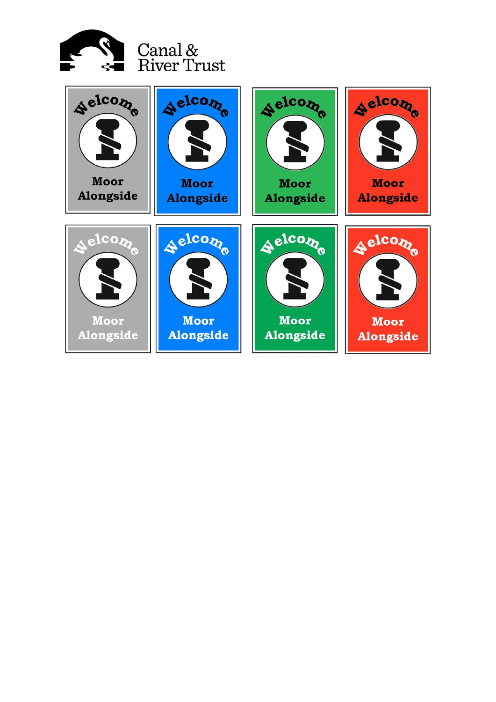

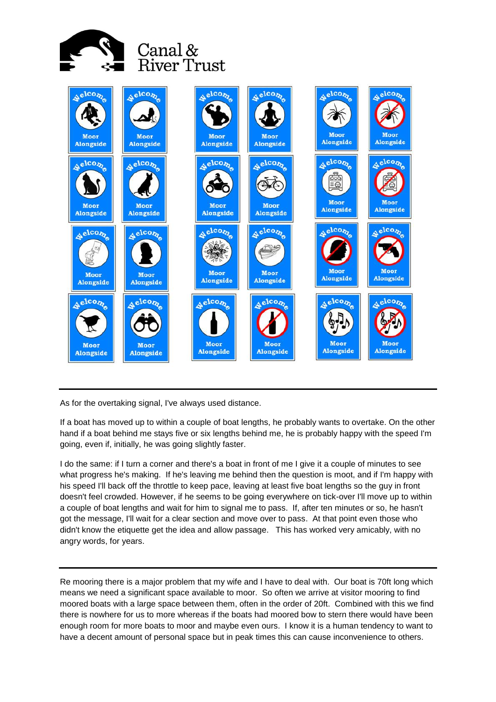



As for the overtaking signal, I've always used distance.

If a boat has moved up to within a couple of boat lengths, he probably wants to overtake. On the other hand if a boat behind me stays five or six lengths behind me, he is probably happy with the speed I'm going, even if, initially, he was going slightly faster.

I do the same: if I turn a corner and there's a boat in front of me I give it a couple of minutes to see what progress he's making. If he's leaving me behind then the question is moot, and if I'm happy with his speed I'll back off the throttle to keep pace, leaving at least five boat lengths so the guy in front doesn't feel crowded. However, if he seems to be going everywhere on tick-over I'll move up to within a couple of boat lengths and wait for him to signal me to pass. If, after ten minutes or so, he hasn't got the message, I'll wait for a clear section and move over to pass. At that point even those who didn't know the etiquette get the idea and allow passage. This has worked very amicably, with no angry words, for years.

Re mooring there is a major problem that my wife and I have to deal with. Our boat is 70ft long which means we need a significant space available to moor. So often we arrive at visitor mooring to find moored boats with a large space between them, often in the order of 20ft. Combined with this we find there is nowhere for us to more whereas if the boats had moored bow to stern there would have been enough room for more boats to moor and maybe even ours. I know it is a human tendency to want to have a decent amount of personal space but in peak times this can cause inconvenience to others.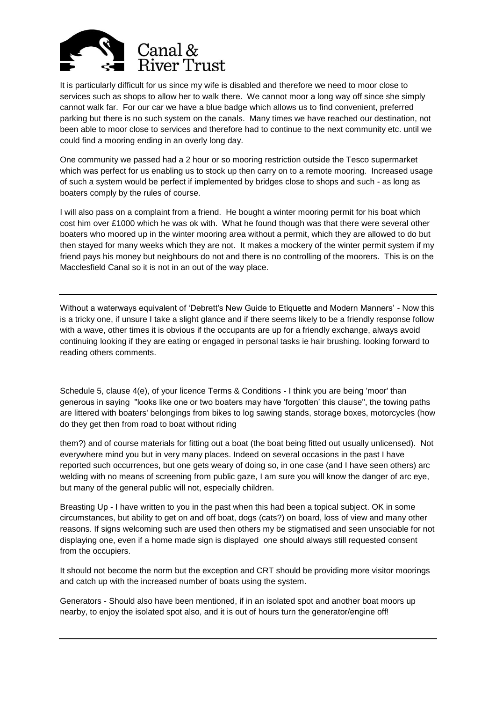

It is particularly difficult for us since my wife is disabled and therefore we need to moor close to services such as shops to allow her to walk there. We cannot moor a long way off since she simply cannot walk far. For our car we have a blue badge which allows us to find convenient, preferred parking but there is no such system on the canals. Many times we have reached our destination, not been able to moor close to services and therefore had to continue to the next community etc. until we could find a mooring ending in an overly long day.

One community we passed had a 2 hour or so mooring restriction outside the Tesco supermarket which was perfect for us enabling us to stock up then carry on to a remote mooring. Increased usage of such a system would be perfect if implemented by bridges close to shops and such - as long as boaters comply by the rules of course.

I will also pass on a complaint from a friend. He bought a winter mooring permit for his boat which cost him over £1000 which he was ok with. What he found though was that there were several other boaters who moored up in the winter mooring area without a permit, which they are allowed to do but then stayed for many weeks which they are not. It makes a mockery of the winter permit system if my friend pays his money but neighbours do not and there is no controlling of the moorers. This is on the Macclesfield Canal so it is not in an out of the way place.

Without a waterways equivalent of 'Debrett's New Guide to Etiquette and Modern Manners' - Now this is a tricky one, if unsure I take a slight glance and if there seems likely to be a friendly response follow with a wave, other times it is obvious if the occupants are up for a friendly exchange, always avoid continuing looking if they are eating or engaged in personal tasks ie hair brushing. looking forward to reading others comments.

Schedule 5, clause 4(e), of your licence Terms & Conditions - I think you are being 'moor' than generous in saying "looks like one or two boaters may have 'forgotten' this clause", the towing paths are littered with boaters' belongings from bikes to log sawing stands, storage boxes, motorcycles (how do they get then from road to boat without riding

them?) and of course materials for fitting out a boat (the boat being fitted out usually unlicensed). Not everywhere mind you but in very many places. Indeed on several occasions in the past I have reported such occurrences, but one gets weary of doing so, in one case (and I have seen others) arc welding with no means of screening from public gaze, I am sure you will know the danger of arc eye, but many of the general public will not, especially children.

Breasting Up - I have written to you in the past when this had been a topical subject. OK in some circumstances, but ability to get on and off boat, dogs (cats?) on board, loss of view and many other reasons. If signs welcoming such are used then others my be stigmatised and seen unsociable for not displaying one, even if a home made sign is displayed one should always still requested consent from the occupiers.

It should not become the norm but the exception and CRT should be providing more visitor moorings and catch up with the increased number of boats using the system.

Generators - Should also have been mentioned, if in an isolated spot and another boat moors up nearby, to enjoy the isolated spot also, and it is out of hours turn the generator/engine off!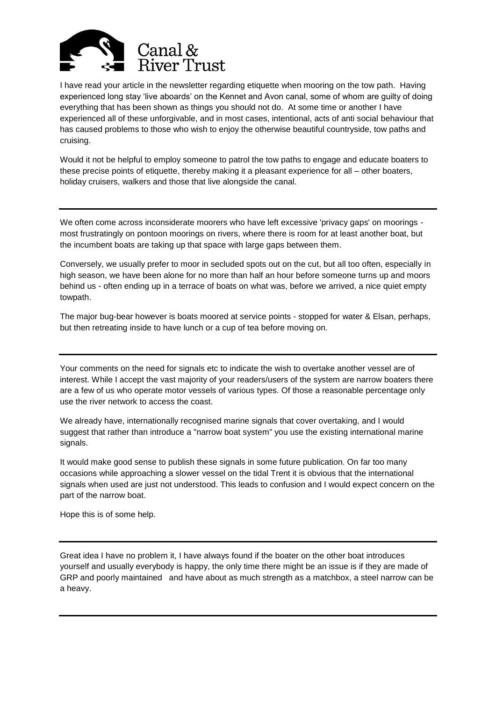

I have read your article in the newsletter regarding etiquette when mooring on the tow path. Having experienced long stay 'live aboards' on the Kennet and Avon canal, some of whom are guilty of doing everything that has been shown as things you should not do. At some time or another I have experienced all of these unforgivable, and in most cases, intentional, acts of anti social behaviour that has caused problems to those who wish to enjoy the otherwise beautiful countryside, tow paths and cruising.

Would it not be helpful to employ someone to patrol the tow paths to engage and educate boaters to these precise points of etiquette, thereby making it a pleasant experience for all – other boaters, holiday cruisers, walkers and those that live alongside the canal.

We often come across inconsiderate moorers who have left excessive 'privacy gaps' on moorings most frustratingly on pontoon moorings on rivers, where there is room for at least another boat, but the incumbent boats are taking up that space with large gaps between them.

Conversely, we usually prefer to moor in secluded spots out on the cut, but all too often, especially in high season, we have been alone for no more than half an hour before someone turns up and moors behind us - often ending up in a terrace of boats on what was, before we arrived, a nice quiet empty towpath.

The major bug-bear however is boats moored at service points - stopped for water & Elsan, perhaps, but then retreating inside to have lunch or a cup of tea before moving on.

Your comments on the need for signals etc to indicate the wish to overtake another vessel are of interest. While I accept the vast majority of your readers/users of the system are narrow boaters there are a few of us who operate motor vessels of various types. Of those a reasonable percentage only use the river network to access the coast.

We already have, internationally recognised marine signals that cover overtaking, and I would suggest that rather than introduce a "narrow boat system" you use the existing international marine signals.

It would make good sense to publish these signals in some future publication. On far too many occasions while approaching a slower vessel on the tidal Trent it is obvious that the international signals when used are just not understood. This leads to confusion and I would expect concern on the part of the narrow boat.

Hope this is of some help.

Great idea I have no problem it, I have always found if the boater on the other boat introduces yourself and usually everybody is happy, the only time there might be an issue is if they are made of GRP and poorly maintained and have about as much strength as a matchbox, a steel narrow can be a heavy.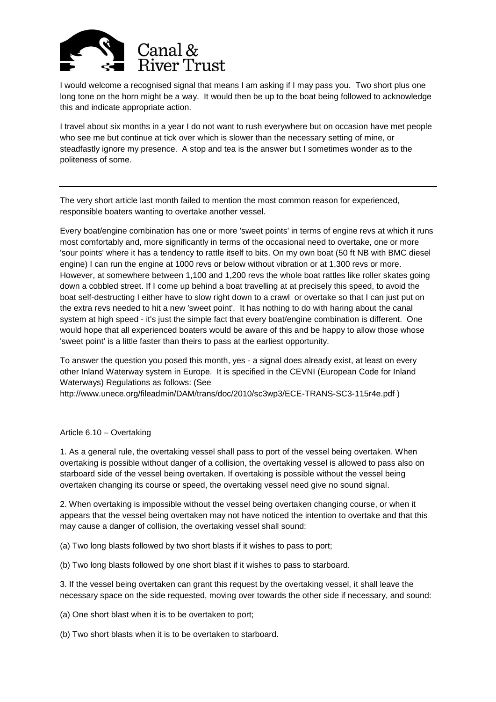

I would welcome a recognised signal that means I am asking if I may pass you. Two short plus one long tone on the horn might be a way. It would then be up to the boat being followed to acknowledge this and indicate appropriate action.

I travel about six months in a year I do not want to rush everywhere but on occasion have met people who see me but continue at tick over which is slower than the necessary setting of mine, or steadfastly ignore my presence. A stop and tea is the answer but I sometimes wonder as to the politeness of some.

The very short article last month failed to mention the most common reason for experienced, responsible boaters wanting to overtake another vessel.

Every boat/engine combination has one or more 'sweet points' in terms of engine revs at which it runs most comfortably and, more significantly in terms of the occasional need to overtake, one or more 'sour points' where it has a tendency to rattle itself to bits. On my own boat (50 ft NB with BMC diesel engine) I can run the engine at 1000 revs or below without vibration or at 1,300 revs or more. However, at somewhere between 1,100 and 1,200 revs the whole boat rattles like roller skates going down a cobbled street. If I come up behind a boat travelling at at precisely this speed, to avoid the boat self-destructing I either have to slow right down to a crawl or overtake so that I can just put on the extra revs needed to hit a new 'sweet point'. It has nothing to do with haring about the canal system at high speed - it's just the simple fact that every boat/engine combination is different. One would hope that all experienced boaters would be aware of this and be happy to allow those whose 'sweet point' is a little faster than theirs to pass at the earliest opportunity.

To answer the question you posed this month, yes - a signal does already exist, at least on every other Inland Waterway system in Europe. It is specified in the CEVNI (European Code for Inland Waterways) Regulations as follows: (See

http://www.unece.org/fileadmin/DAM/trans/doc/2010/sc3wp3/ECE-TRANS-SC3-115r4e.pdf )

## Article 6.10 – Overtaking

1. As a general rule, the overtaking vessel shall pass to port of the vessel being overtaken. When overtaking is possible without danger of a collision, the overtaking vessel is allowed to pass also on starboard side of the vessel being overtaken. If overtaking is possible without the vessel being overtaken changing its course or speed, the overtaking vessel need give no sound signal.

2. When overtaking is impossible without the vessel being overtaken changing course, or when it appears that the vessel being overtaken may not have noticed the intention to overtake and that this may cause a danger of collision, the overtaking vessel shall sound:

(a) Two long blasts followed by two short blasts if it wishes to pass to port;

(b) Two long blasts followed by one short blast if it wishes to pass to starboard.

3. If the vessel being overtaken can grant this request by the overtaking vessel, it shall leave the necessary space on the side requested, moving over towards the other side if necessary, and sound:

(a) One short blast when it is to be overtaken to port;

(b) Two short blasts when it is to be overtaken to starboard.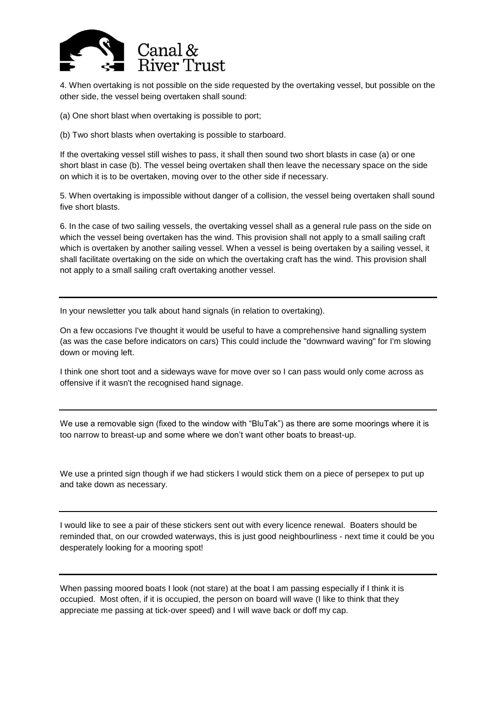

4. When overtaking is not possible on the side requested by the overtaking vessel, but possible on the other side, the vessel being overtaken shall sound:

(a) One short blast when overtaking is possible to port;

(b) Two short blasts when overtaking is possible to starboard.

If the overtaking vessel still wishes to pass, it shall then sound two short blasts in case (a) or one short blast in case (b). The vessel being overtaken shall then leave the necessary space on the side on which it is to be overtaken, moving over to the other side if necessary.

5. When overtaking is impossible without danger of a collision, the vessel being overtaken shall sound five short blasts.

6. In the case of two sailing vessels, the overtaking vessel shall as a general rule pass on the side on which the vessel being overtaken has the wind. This provision shall not apply to a small sailing craft which is overtaken by another sailing vessel. When a vessel is being overtaken by a sailing vessel, it shall facilitate overtaking on the side on which the overtaking craft has the wind. This provision shall not apply to a small sailing craft overtaking another vessel.

In your newsletter you talk about hand signals (in relation to overtaking).

On a few occasions I've thought it would be useful to have a comprehensive hand signalling system (as was the case before indicators on cars) This could include the "downward waving" for I'm slowing down or moving left.

I think one short toot and a sideways wave for move over so I can pass would only come across as offensive if it wasn't the recognised hand signage.

We use a removable sign (fixed to the window with "BluTak") as there are some moorings where it is too narrow to breast-up and some where we don't want other boats to breast-up.

We use a printed sign though if we had stickers I would stick them on a piece of persepex to put up and take down as necessary.

I would like to see a pair of these stickers sent out with every licence renewal. Boaters should be reminded that, on our crowded waterways, this is just good neighbourliness - next time it could be you desperately looking for a mooring spot!

When passing moored boats I look (not stare) at the boat I am passing especially if I think it is occupied. Most often, if it is occupied, the person on board will wave (I like to think that they appreciate me passing at tick-over speed) and I will wave back or doff my cap.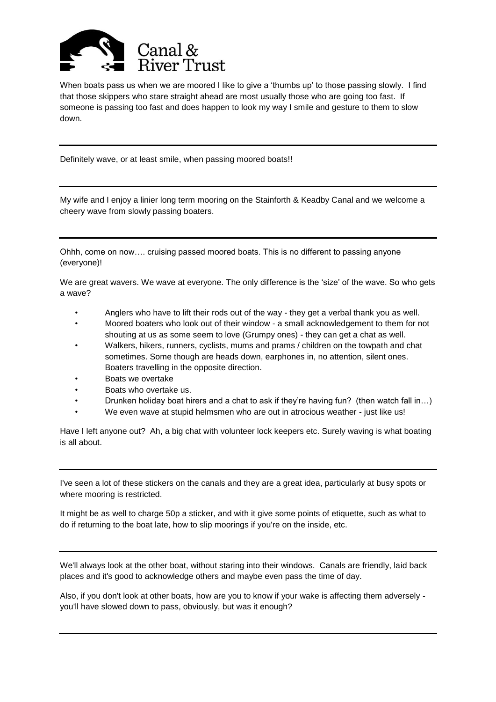

When boats pass us when we are moored I like to give a 'thumbs up' to those passing slowly. I find that those skippers who stare straight ahead are most usually those who are going too fast. If someone is passing too fast and does happen to look my way I smile and gesture to them to slow down.

Definitely wave, or at least smile, when passing moored boats!!

My wife and I enjoy a linier long term mooring on the Stainforth & Keadby Canal and we welcome a cheery wave from slowly passing boaters.

Ohhh, come on now…. cruising passed moored boats. This is no different to passing anyone (everyone)!

We are great wavers. We wave at everyone. The only difference is the 'size' of the wave. So who gets a wave?

- Anglers who have to lift their rods out of the way they get a verbal thank you as well.
- Moored boaters who look out of their window a small acknowledgement to them for not shouting at us as some seem to love (Grumpy ones) - they can get a chat as well.
- Walkers, hikers, runners, cyclists, mums and prams / children on the towpath and chat sometimes. Some though are heads down, earphones in, no attention, silent ones. Boaters travelling in the opposite direction.
- Boats we overtake
- Boats who overtake us.
- Drunken holiday boat hirers and a chat to ask if they're having fun? (then watch fall in…)
- We even wave at stupid helmsmen who are out in atrocious weather just like us!

Have I left anyone out? Ah, a big chat with volunteer lock keepers etc. Surely waving is what boating is all about.

I've seen a lot of these stickers on the canals and they are a great idea, particularly at busy spots or where mooring is restricted.

It might be as well to charge 50p a sticker, and with it give some points of etiquette, such as what to do if returning to the boat late, how to slip moorings if you're on the inside, etc.

We'll always look at the other boat, without staring into their windows. Canals are friendly, laid back places and it's good to acknowledge others and maybe even pass the time of day.

Also, if you don't look at other boats, how are you to know if your wake is affecting them adversely you'll have slowed down to pass, obviously, but was it enough?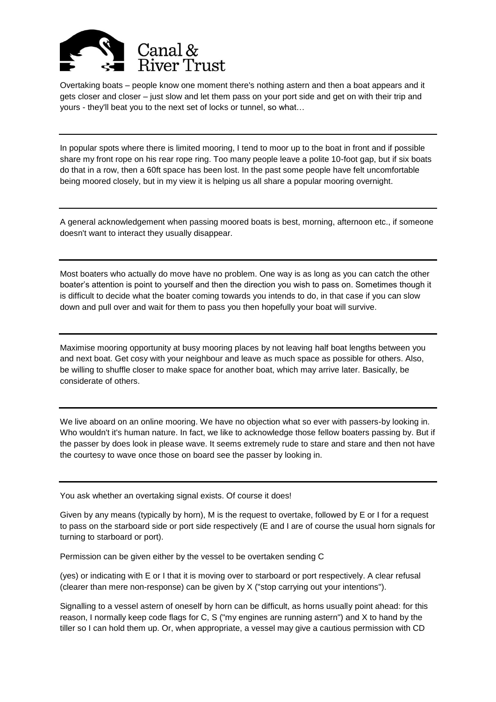

Overtaking boats – people know one moment there's nothing astern and then a boat appears and it gets closer and closer – just slow and let them pass on your port side and get on with their trip and yours - they'll beat you to the next set of locks or tunnel, so what…

In popular spots where there is limited mooring, I tend to moor up to the boat in front and if possible share my front rope on his rear rope ring. Too many people leave a polite 10-foot gap, but if six boats do that in a row, then a 60ft space has been lost. In the past some people have felt uncomfortable being moored closely, but in my view it is helping us all share a popular mooring overnight.

A general acknowledgement when passing moored boats is best, morning, afternoon etc., if someone doesn't want to interact they usually disappear.

Most boaters who actually do move have no problem. One way is as long as you can catch the other boater's attention is point to yourself and then the direction you wish to pass on. Sometimes though it is difficult to decide what the boater coming towards you intends to do, in that case if you can slow down and pull over and wait for them to pass you then hopefully your boat will survive.

Maximise mooring opportunity at busy mooring places by not leaving half boat lengths between you and next boat. Get cosy with your neighbour and leave as much space as possible for others. Also, be willing to shuffle closer to make space for another boat, which may arrive later. Basically, be considerate of others.

We live aboard on an online mooring. We have no objection what so ever with passers-by looking in. Who wouldn't it's human nature. In fact, we like to acknowledge those fellow boaters passing by. But if the passer by does look in please wave. It seems extremely rude to stare and stare and then not have the courtesy to wave once those on board see the passer by looking in.

You ask whether an overtaking signal exists. Of course it does!

Given by any means (typically by horn), M is the request to overtake, followed by E or I for a request to pass on the starboard side or port side respectively (E and I are of course the usual horn signals for turning to starboard or port).

Permission can be given either by the vessel to be overtaken sending C

(yes) or indicating with E or I that it is moving over to starboard or port respectively. A clear refusal (clearer than mere non-response) can be given by X ("stop carrying out your intentions").

Signalling to a vessel astern of oneself by horn can be difficult, as horns usually point ahead: for this reason, I normally keep code flags for C, S ("my engines are running astern") and X to hand by the tiller so I can hold them up. Or, when appropriate, a vessel may give a cautious permission with CD